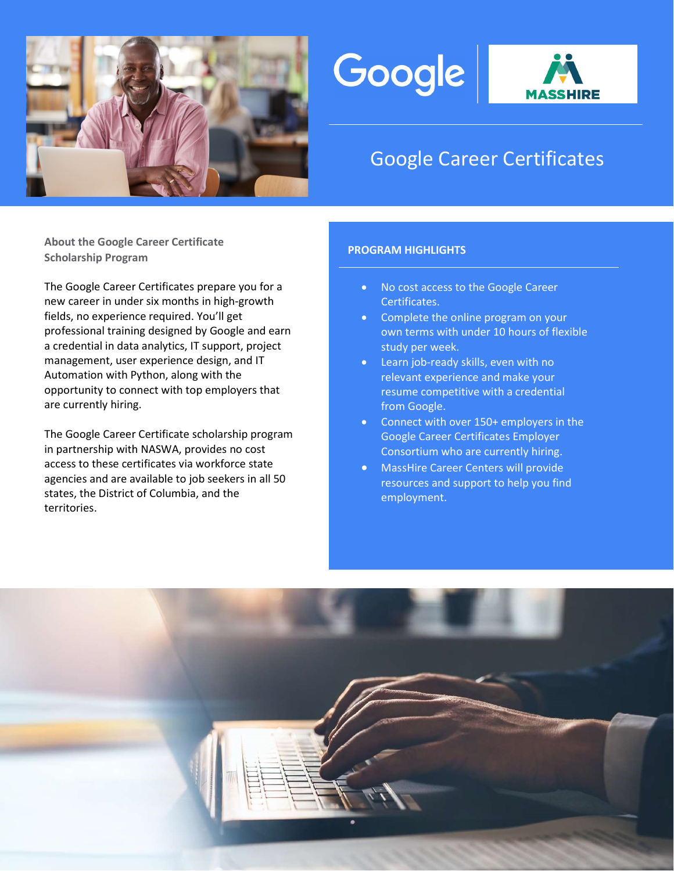





# Google Career Certificates

About the Google Career Certificate Scholarship Program Product Continued Control of the PROGRAM HIGHLIGHTS

The Google Career Certificates prepare you for a new career in under six months in high-growth fields, no experience required. You'll get professional training designed by Google and earn a credential in data analytics, IT support, project management, user experience design, and IT Automation with Python, along with the opportunity to connect with top employers that are currently hiring.

The Google Career Certificate scholarship program in partnership with NASWA, provides no cost access to these certificates via workforce state agencies and are available to job seekers in all 50 states, the District of Columbia, and the territories.

- No cost access to the Google Career Certificates.
- Complete the online program on your own terms with under 10 hours of flexible study per week.
- Learn job-ready skills, even with no relevant experience and make your resume competitive with a credential from Google.
- Connect with over 150+ employers in the Google Career Certificates Employer Consortium who are currently hiring.
- MassHire Career Centers will provide resources and support to help you find employment.